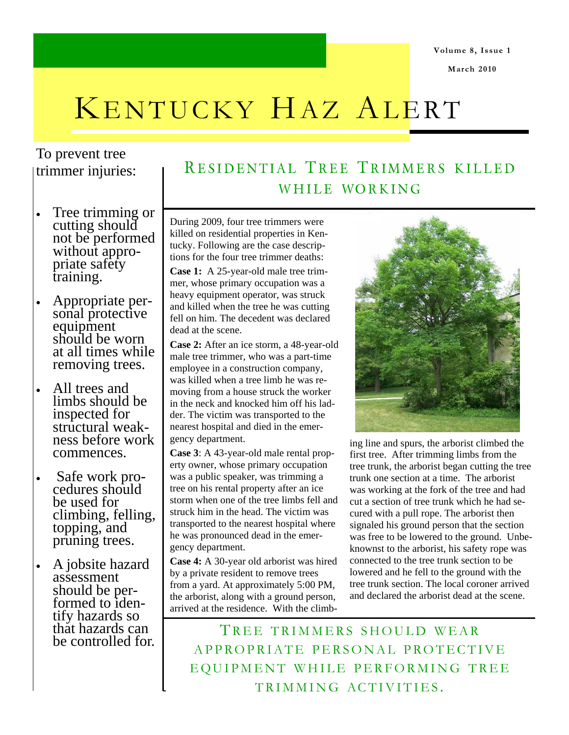**March 2010** 

## KENTUCKY HAZ ALERT

## To prevent tree trimmer injuries:

- Tree trimming or cutting should not be performed without appropriate safety training.
- Appropriate personal protective equipment should be worn at all times while removing trees.
- All trees and limbs should be inspected for structural weakness before work commences.
- Safe work procedures should be used for climbing, felling, topping, and pruning trees.
- A jobsite hazard assessment should be performed to identify hazards so that hazards can be controlled for.

## RESIDENTIAL TREE TRIMMERS KILLED WHILE WORKING

During 2009, four tree trimmers were killed on residential properties in Kentucky. Following are the case descriptions for the four tree trimmer deaths:

**Case 1:** A 25-year-old male tree trimmer, whose primary occupation was a heavy equipment operator, was struck and killed when the tree he was cutting fell on him. The decedent was declared dead at the scene.

**Case 2:** After an ice storm, a 48-year-old male tree trimmer, who was a part-time employee in a construction company, was killed when a tree limb he was removing from a house struck the worker in the neck and knocked him off his ladder. The victim was transported to the nearest hospital and died in the emergency department.

**Case 3**: A 43-year-old male rental property owner, whose primary occupation was a public speaker, was trimming a tree on his rental property after an ice storm when one of the tree limbs fell and struck him in the head. The victim was transported to the nearest hospital where he was pronounced dead in the emergency department.

**Case 4:** A 30-year old arborist was hired by a private resident to remove trees from a yard. At approximately 5:00 PM, the arborist, along with a ground person, arrived at the residence. With the climb-



ing line and spurs, the arborist climbed the first tree. After trimming limbs from the tree trunk, the arborist began cutting the tree trunk one section at a time. The arborist was working at the fork of the tree and had cut a section of tree trunk which he had secured with a pull rope. The arborist then signaled his ground person that the section was free to be lowered to the ground. Unbeknownst to the arborist, his safety rope was connected to the tree trunk section to be lowered and he fell to the ground with the tree trunk section. The local coroner arrived and declared the arborist dead at the scene.

TREE TRIMMERS SHOULD WEAR APPROPRIATE PERSONAL PROTECTIVE EQUIPMENT WHILE PERFORMING TREE TRIMMING ACTIVITIES .